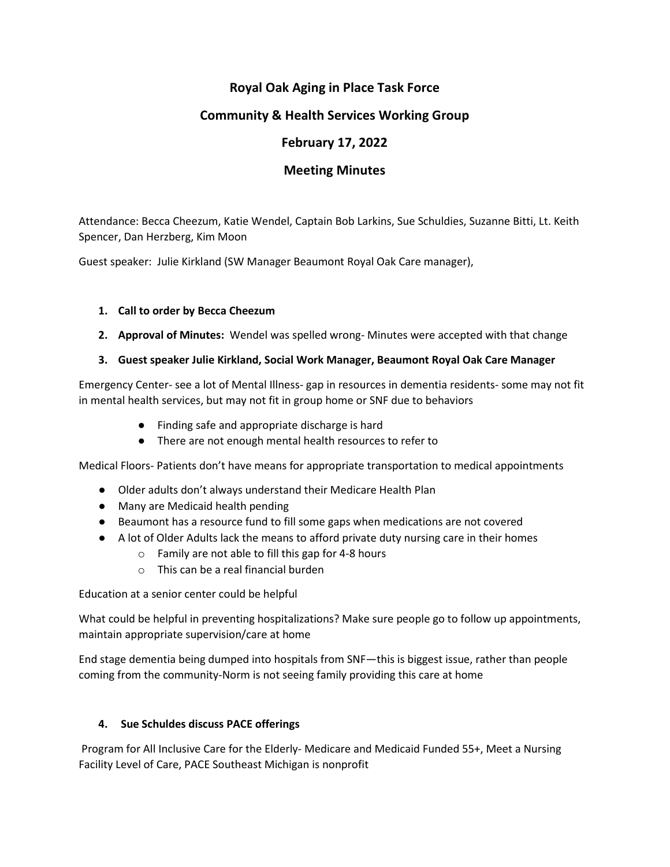# **Royal Oak Aging in Place Task Force**

## **Community & Health Services Working Group**

# **February 17, 2022**

## **Meeting Minutes**

Attendance: Becca Cheezum, Katie Wendel, Captain Bob Larkins, Sue Schuldies, Suzanne Bitti, Lt. Keith Spencer, Dan Herzberg, Kim Moon

Guest speaker: Julie Kirkland (SW Manager Beaumont Royal Oak Care manager),

## **1. Call to order by Becca Cheezum**

## **2. Approval of Minutes:** Wendel was spelled wrong- Minutes were accepted with that change

## **3. Guest speaker Julie Kirkland, Social Work Manager, Beaumont Royal Oak Care Manager**

Emergency Center- see a lot of Mental Illness- gap in resources in dementia residents- some may not fit in mental health services, but may not fit in group home or SNF due to behaviors

- Finding safe and appropriate discharge is hard
- There are not enough mental health resources to refer to

Medical Floors- Patients don't have means for appropriate transportation to medical appointments

- Older adults don't always understand their Medicare Health Plan
- Many are Medicaid health pending
- Beaumont has a resource fund to fill some gaps when medications are not covered
- A lot of Older Adults lack the means to afford private duty nursing care in their homes
	- o Family are not able to fill this gap for 4-8 hours
	- o This can be a real financial burden

Education at a senior center could be helpful

What could be helpful in preventing hospitalizations? Make sure people go to follow up appointments, maintain appropriate supervision/care at home

End stage dementia being dumped into hospitals from SNF—this is biggest issue, rather than people coming from the community-Norm is not seeing family providing this care at home

## **4. Sue Schuldes discuss PACE offerings**

Program for All Inclusive Care for the Elderly- Medicare and Medicaid Funded 55+, Meet a Nursing Facility Level of Care, PACE Southeast Michigan is nonprofit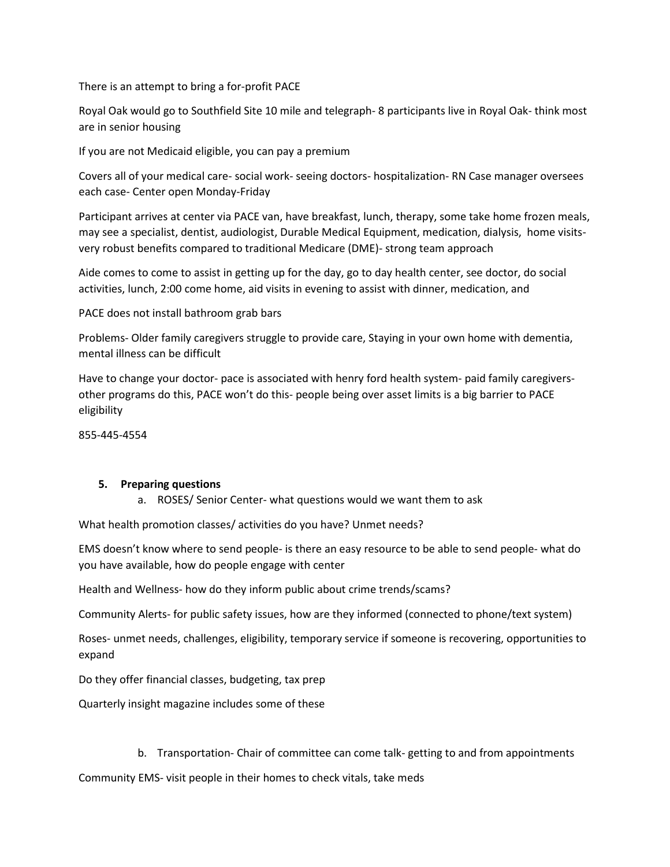There is an attempt to bring a for-profit PACE

Royal Oak would go to Southfield Site 10 mile and telegraph- 8 participants live in Royal Oak- think most are in senior housing

If you are not Medicaid eligible, you can pay a premium

Covers all of your medical care- social work- seeing doctors- hospitalization- RN Case manager oversees each case- Center open Monday-Friday

Participant arrives at center via PACE van, have breakfast, lunch, therapy, some take home frozen meals, may see a specialist, dentist, audiologist, Durable Medical Equipment, medication, dialysis, home visitsvery robust benefits compared to traditional Medicare (DME)- strong team approach

Aide comes to come to assist in getting up for the day, go to day health center, see doctor, do social activities, lunch, 2:00 come home, aid visits in evening to assist with dinner, medication, and

PACE does not install bathroom grab bars

Problems- Older family caregivers struggle to provide care, Staying in your own home with dementia, mental illness can be difficult

Have to change your doctor- pace is associated with henry ford health system- paid family caregiversother programs do this, PACE won't do this- people being over asset limits is a big barrier to PACE eligibility

855-445-4554

#### **5. Preparing questions**

a. ROSES/ Senior Center- what questions would we want them to ask

What health promotion classes/ activities do you have? Unmet needs?

EMS doesn't know where to send people- is there an easy resource to be able to send people- what do you have available, how do people engage with center

Health and Wellness- how do they inform public about crime trends/scams?

Community Alerts- for public safety issues, how are they informed (connected to phone/text system)

Roses- unmet needs, challenges, eligibility, temporary service if someone is recovering, opportunities to expand

Do they offer financial classes, budgeting, tax prep

Quarterly insight magazine includes some of these

b. Transportation- Chair of committee can come talk- getting to and from appointments

Community EMS- visit people in their homes to check vitals, take meds